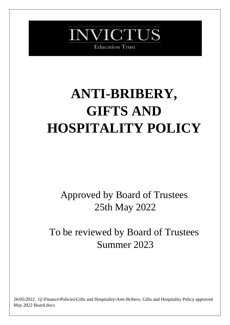

# **ANTI-BRIBERY, GIFTS AND HOSPITALITY POLICY**

Approved by Board of Trustees 25th May 2022

To be reviewed by Board of Trustees Summer 2023

26/05/2022 Q:\Finance\Policies\Gifts and Hospitality\Anti-Bribery, Gifts and Hospitality Policy approved May 2022 Board.docx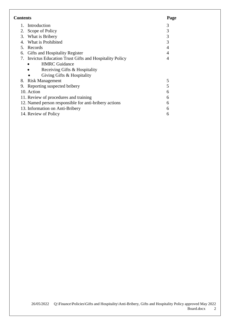| <b>Contents</b>                       | Page                                                     |   |
|---------------------------------------|----------------------------------------------------------|---|
|                                       | 1. Introduction                                          | 3 |
|                                       | 2. Scope of Policy                                       | 3 |
|                                       | 3. What is Bribery                                       | 3 |
|                                       | 4. What is Prohibited                                    | 3 |
|                                       | 5. Records                                               | 4 |
|                                       | 6. Gifts and Hospitality Register                        | 4 |
|                                       | 7. Invictus Education Trust Gifts and Hospitality Policy | 4 |
|                                       | <b>HMRC</b> Guidance                                     |   |
|                                       | Receiving Gifts & Hospitality                            |   |
|                                       | Giving Gifts & Hospitality                               |   |
|                                       | 8. Risk Management                                       | 5 |
| 9.                                    | Reporting suspected bribery                              | 5 |
|                                       | 10. Action                                               | 6 |
| 11. Review of procedures and training |                                                          | 6 |
|                                       | 12. Named person responsible for anti-bribery actions    | 6 |
| 13. Information on Anti-Bribery       | 6                                                        |   |
|                                       | 14. Review of Policy                                     | 6 |
|                                       |                                                          |   |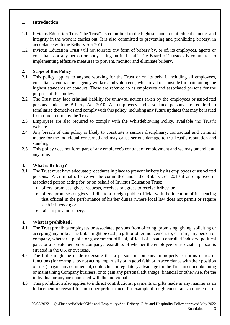### **1. Introduction**

- 1.1 Invictus Education Trust "the Trust", is committed to the highest standards of ethical conduct and integrity in the work it carries out. It is also committed to preventing and prohibiting bribery, in accordance with the Bribery Act 2010.
- 1.2 Invictus Education Trust will not tolerate any form of bribery by, or of, its employees, agents or consultants or any person or body acting on its behalf. The Board of Trustees is committed to implementing effective measures to prevent, monitor and eliminate bribery.

# **2. Scope of this Policy**

- 2.1 This policy applies to anyone working for the Trust or on its behalf, including all employees, consultants, contractors, agency workers and volunteers, who are all responsible for maintaining the highest standards of conduct. These are referred to as employees and associated persons for the purpose of this policy.
- 2.2 The Trust may face criminal liability for unlawful actions taken by the employees or associated persons under the Bribery Act 2010. All employees and associated persons are required to familiarise themselves and comply with this policy, including any future updates that may be issued from time to time by the Trust.
- 2.3 Employees are also required to comply with the Whistleblowing Policy, available the Trust's website.
- 2.4 Any breach of this policy is likely to constitute a serious disciplinary, contractual and criminal matter for the individual concerned and may cause serious damage to the Trust's reputation and standing.
- 2.5 This policy does not form part of any employee's contract of employment and we may amend it at any time.

# 3. **What is Bribery**?

- 3.1 The Trust must have adequate procedures in place to prevent bribery by its employees or associated persons. A criminal offence will be committed under the Bribery Act 2010 if an employee or associated person acting for, or on behalf of Invictus Education Trust:
	- offers, promises, gives, requests, receives or agrees to receive bribes; or
	- offers, promises or gives a bribe to a foreign public official with the intention of influencing that official in the performance of his/her duties (where local law does not permit or require such influence); or
	- fails to prevent bribery.

# 4. **What is prohibited?**

- 4.1 The Trust prohibits employees or associated persons from offering, promising, giving, soliciting or accepting any bribe. The bribe might be cash, a gift or other inducement to, or from, any person or company, whether a public or government official, official of a state-controlled industry, political party or a private person or company, regardless of whether the employee or associated person is situated in the UK or overseas.
- 4.2 The bribe might be made to ensure that a person or company improperly performs duties or functions (for example, by not acting impartially or in good faith or in accordance with their position of trust) to gain any commercial, contractual or regulatory advantage for the Trust in either obtaining or maintaining Company business, or to gain any personal advantage, financial or otherwise, for the individual or anyone connected with the individual.
- 4.3 This prohibition also applies to indirect contributions, payments or gifts made in any manner as an inducement or reward for improper performance, for example through consultants, contractors or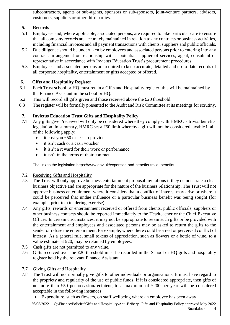subcontractors, agents or sub-agents, sponsors or sub-sponsors, joint-venture partners, advisors, customers, suppliers or other third parties.

# **5. Records**

- 5.1 Employees and, where applicable, associated persons, are required to take particular care to ensure that all company records are accurately maintained in relation to any contracts or business activities, including financial invoices and all payment transactions with clients, suppliers and public officials.
- 5.2 Due diligence should be undertaken by employees and associated persons prior to entering into any contract, arrangement or relationship with a potential supplier of services, agent, consultant or representative in accordance with Invictus Education Trust's procurement procedures.
- 5.3 Employees and associated persons are required to keep accurate, detailed and up-to-date records of all corporate hospitality, entertainment or gifts accepted or offered.

# **6. Gifts and Hospitality Register**

- 6.1 Each Trust school or HQ must retain a Gifts and Hospitality register; this will be maintained by the Finance Assistant in the school or HQ.
- 6.2 This will record all gifts given and those received above the £20 threshold.
- 6.3 The register will be formally presented to the Audit and Risk Committee at its meetings for scrutiny.

# **7. Invictus Education Trust Gifts and Hospitality Policy**

- 7.1 Any gifts given/received will only be considered where they comply with HMRC's trivial benefits legislation. In summary, HMRC set a £50 limit whereby a gift will not be considered taxable if all of the following apply:
	- it cost you £50 or less to provide
	- it isn't cash or a cash voucher
	- it isn't a reward for their work or performance
	- it isn't in the terms of their contract

The link to the legislation [https://www.gov.uk/expenses-and-benefits-trivial-benefits.](https://www.gov.uk/expenses-and-benefits-trivial-benefits)

- 7.2 Receiving Gifts and Hospitality
- 7.3 The Trust will only approve business entertainment proposal invitations if they demonstrate a clear business objective and are appropriate for the nature of the business relationship. The Trust will not approve business entertainment where it considers that a conflict of interest may arise or where it could be perceived that undue influence or a particular business benefit was being sought (for example, prior to a tendering exercise).
- 7.4 Any gifts, rewards or entertainment received or offered from clients, public officials, suppliers or other business contacts should be reported immediately to the Headteacher or the Chief Executive Officer. In certain circumstances, it may not be appropriate to retain such gifts or be provided with the entertainment and employees and associated persons may be asked to return the gifts to the sender or refuse the entertainment, for example, where there could be a real or perceived conflict of interest. As a general rule, small tokens of appreciation, such as flowers or a bottle of wine, to a value estimate at £20, may be retained by employees.
- 7.5 Cash gifts are not permitted to any value.
- 7.6 Gifts received over the £20 threshold must be recorded in the School or HQ gifts and hospitality register held by the relevant Finance Assistant.
- 7.7 Giving Gifts and Hospitality
- 7.8 The Trust will not normally give gifts to other individuals or organisations. It must have regard to the propriety and regularity of the use of public funds. If it is considered appropriate, then gifts of no more than £50 per occasion/recipient, to a maximum of £200 per year will be considered acceptable in the following instances:
	- Expenditure, such as flowers, on staff wellbeing where an employee has been away

26/05/2022 Q:\Finance\Policies\Gifts and Hospitality\Anti-Bribery, Gifts and Hospitality Policy approved May 2022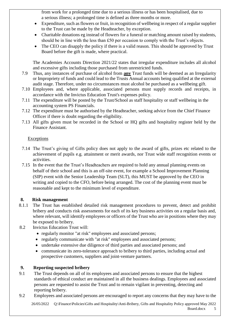from work for a prolonged time due to a serious illness or has been hospitalised, due to a serious illness; a prolonged time is defined as three months or more.

- Expenditure, such as flowers or fruit, in recognition of wellbeing in respect of a regular supplier to the Trust can be made by the Headteacher, by exception.
- Charitable donations eg instead of flowers for a funeral or matching amount raised by students, should be in line with the less than £50 per occasion to comply with the Trust's objects.
- The CEO can disapply the policy if there is a valid reason. This should be approved by Trust Board before the gift is made, where practical.

The Academies Accounts Direction 2021/22 states that irregular expenditure includes all alcohol and excessive gifts including those purchased from unrestricted funds.

- 7.9 Thus, any instances of purchase of alcohol from **any** Trust funds will be deemed as an Irregularity or Impropriety of funds and could lead to the Trusts Annual accounts being qualified at the external audit stage. Therefore, under no circumstances must alcohol be purchased as a wellbeing gift.
- 7.10 Employees and, where applicable, associated persons must supply records and receipts, in accordance with the Invictus Education Trust's expenses policy.
- 7.11 The expenditure will be posted by the Trust/School as staff hospitality or staff wellbeing in the accounting system PS Financials.
- 7.12 The expenditure must be authorised by the Headteacher, seeking advice from the Chief Finance Officer if there is doubt regarding the eligibility.
- 7.13 All gifts given must be recorded in the School or HQ gifts and hospitality register held by the Finance Assistant.

# **Exceptions**

- 7.14 The Trust's giving of Gifts policy does not apply to the award of gifts, prizes etc related to the achievement of pupils e.g. attainment or merit awards, nor Trust wide staff recognition events or activities.
- 7.15 In the event that the Trust's Headteachers are required to hold any annual planning events on behalf of their school and this is an off-site event, for example a School Improvement Planning (SIP) event with the Senior Leadership Team (SLT), this MUST be approved by the CEO in writing and copied to the CFO, before being arranged. The cost of the planning event must be reasonable and kept to the minimum level of expenditure.

#### **8. Risk management**

- 8.1.1 The Trust has established detailed risk management procedures to prevent, detect and prohibit bribery and conducts risk assessments for each of its key business activities on a regular basis and, where relevant, will identify employees or officers of the Trust who are in positions where they may be exposed to bribery.
- 8.2 Invictus Education Trust will:
	- regularly monitor "at risk" employees and associated persons;
	- regularly communicate with "at risk" employees and associated persons;
	- undertake extensive due diligence of third parties and associated persons; and
	- communicate its zero-tolerance approach to bribery to third parties, including actual and prospective customers, suppliers and joint-venture partners.

# **9. Reporting suspected bribery**

- 9.1 The Trust depends on all of its employees and associated persons to ensure that the highest standards of ethical conduct are maintained in all the business dealings. Employees and associated persons are requested to assist the Trust and to remain vigilant in preventing, detecting and reporting bribery.
- 9.2 Employees and associated persons are encouraged to report any concerns that they may have to the

26/05/2022 Q:\Finance\Policies\Gifts and Hospitality\Anti-Bribery, Gifts and Hospitality Policy approved May 2022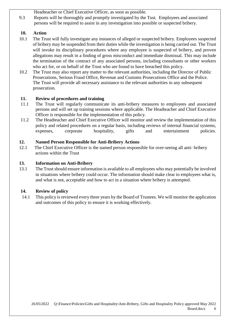Headteacher or Chief Executive Officer, as soon as possible.

9.3 Reports will be thoroughly and promptly investigated by the Tust. Employees and associated persons will be required to assist in any investigation into possible or suspected bribery.

# **10. Action**

- 10.1 The Trust will fully investigate any instances of alleged or suspected bribery. Employees suspected of bribery may be suspended from their duties while the investigation is being carried out. The Trust will invoke its disciplinary procedures where any employee is suspected of bribery, and proven allegations may result in a finding of gross misconduct and immediate dismissal. This may include the termination of the contract of any associated persons, including consultants or other workers who act for, or on behalf of the Trust who are found to have breached this policy.
- 10.2 The Trust may also report any matter to the relevant authorities, including the Director of Public Prosecutions, Serious Fraud Office, Revenue and Customs Prosecutions Office and the Police. The Trust will provide all necessary assistance to the relevant authorities in any subsequent prosecution.

# **11. Review of procedures and training**

- 11.1 The Trust will regularly communicate its anti-bribery measures to employees and associated persons and will set up training sessions where applicable. The Headteacher and Chief Executive Officer is responsible for the implementation of this policy.
- 11.2 The Headteacher and Chief Executive Officer will monitor and review the implementation of this policy and related procedures on a regular basis, including reviews of internal financial systems, expenses, corporate hospitality, gifts and entertainment policies.

# **12. Named Person Responsible for Anti-Bribery Actions**

12.1 The Chief Executive Officer is the named person responsible for over-seeing all anti- bribery actions within the Trust

# **13. Information on Anti-Bribery**

13.1 The Trust should ensure information is available to all employees who may potentially be involved in situations where bribery could occur. The information should make clear to employees what is, and what is not, acceptable and how to act in a situation where bribery is attempted.

# **14. Review of policy**

14.1 This policy is reviewed every three years by the Board of Trustees. We will monitor the application and outcomes of this policy to ensure it is working effectively.